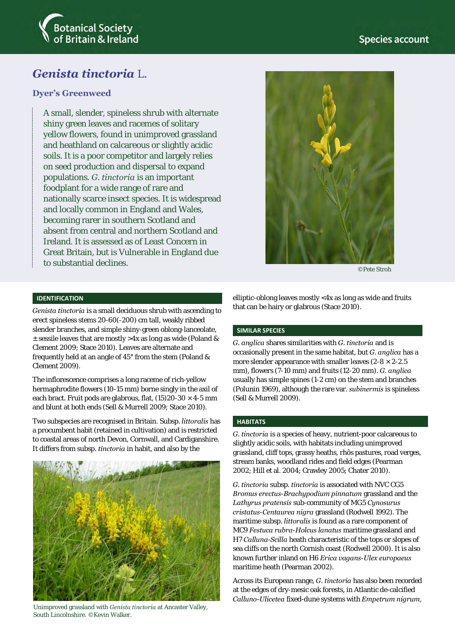

# *Genista tinctoria* L.

# **Dyer's Greenweed**

A small, slender, spineless shrub with alternate shiny green leaves and racemes of solitary yellow flowers, found in unimproved grassland and heathland on calcareous or slightly acidic soils. It is a poor competitor and largely relies on seed production and dispersal to expand populations*. G. tinctoria* is an important foodplant for a wide range of rare and nationally scarce insect species. It is widespread and locally common in England and Wales, becoming rarer in southern Scotland and absent from central and northern Scotland and Ireland. It is assessed as of Least Concern in Great Britain, but is Vulnerable in England due to substantial declines.



©Pete Stroh

# **IDENTIFICATION**

*Genista tinctoria* is a small deciduous shrub with ascending to erect spineless stems 20-60(-200) cm tall, weakly ribbed slender branches, and simple shiny-green oblong-lanceolate, ± sessile leaves that are mostly >4x as long as wide (Poland & Clement 2009; Stace 2010). Leaves are alternate and frequently held at an angle of 45° from the stem (Poland & Clement 2009).

The inflorescence comprises a long raceme of rich-yellow hermaphrodite flowers (10-15 mm) borne singly in the axil of each bract. Fruit pods are glabrous, flat,  $(15)20-30 \times 4-5$  mm and blunt at both ends (Sell & Murrell 2009; Stace 2010).

Two subspecies are recognised in Britain. Subsp. *littoralis* has a procumbent habit (retained in cultivation) and is restricted to coastal areas of north Devon, Cornwall, and Cardiganshire. It differs from subsp. *tinctoria* in habit, and also by the



Unimproved grassland with *Genista tinctoria* at Ancaster Valley, South Lincolnshire. ©Kevin Walker.

elliptic-oblong leaves mostly <4x as long as wide and fruits that can be hairy or glabrous (Stace 2010).

# **SIMILAR SPECIES**

*G. anglica* shares similarities with *G. tinctoria* and is occasionally present in the same habitat, but *G. anglica* has a more slender appearance with smaller leaves  $(2-8 \times 2-2.5)$ mm), flowers (7-10 mm) and fruits (12-20 mm). *G. anglica* usually has simple spines (1-2 cm) on the stem and branches (Polunin 1969), although the rare var. *subinermis* is spineless (Sell & Murrell 2009).

### **HABITATS**

*G. tinctoria* is a species of heavy, nutrient-poor calcareous to slightly acidic soils, with habitats including unimproved grassland, cliff tops, grassy heaths, rhôs pastures, road verges, stream banks, woodland rides and field edges (Pearman 2002; Hill et al. 2004; Crawley 2005; Chater 2010).

*G. tinctoria* subsp. *tinctoria* is associated with NVC CG5 *Bromus erectus*-*Brachypodium pinnatum* grassland and the *Lathyrus pratensis* sub-community of MG5 *Cynosurus cristatus*-*Centaurea nigra* grassland (Rodwell 1992). The maritime subsp. *littoralis* is found as a rare component of MC9 *Festuca rubra*-*Holcus lanatus* maritime grassland and H7 *Calluna-Scilla* heath characteristic of the tops or slopes of sea cliffs on the north Cornish coast (Rodwell 2000). It is also known further inland on H6 *Erica vagans*-*Ulex europaeus* maritime heath (Pearman 2002).

Across its European range, *G. tinctoria* has also been recorded at the edges of dry-mesic oak forests, in Atlantic de-calcified *Calluno-Ulicetea* fixed-dune systems with *Empetrum nigrum*,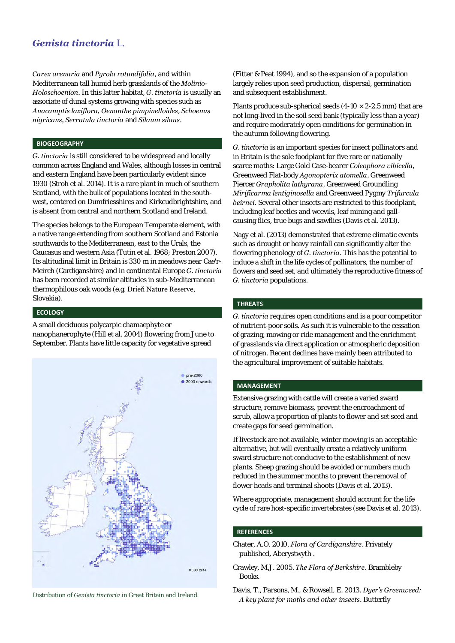# *Genista tinctoria* L.

*Carex arenaria* and *Pyrola rotundifolia*, and within Mediterranean tall humid herb grasslands of the *Molinio-Holoschoenion*. In this latter habitat, *G. tinctoria* is usually an associate of dunal systems growing with species such as *Anacamptis laxiflora, Oenanthe pimpinelloides*, *Schoenus nigricans, Serratula tinctoria* and *Silaum silaus*.

#### **BIOGEOGRAPHY**

*G. tinctoria* is still considered to be widespread and locally common across England and Wales, although losses in central and eastern England have been particularly evident since 1930 (Stroh et al. 2014). It is a rare plant in much of southern Scotland, with the bulk of populations located in the southwest, centered on Dumfriesshires and Kirkcudbrightshire, and is absent from central and northern Scotland and Ireland.

The species belongs to the European Temperate element, with a native range extending from southern Scotland and Estonia southwards to the Mediterranean, east to the Urals, the Caucasus and western Asia (Tutin et al. 1968; Preston 2007). Its altitudinal limit in Britain is 330 m in meadows near Cae'r-Meirch (Cardiganshire) and in continental Europe *G. tinctoria* has been recorded at similar altitudes in sub-Mediterranean thermophilous oak woods (e.g. Drieň Nature Reserve, Slovakia).

#### **ECOLOGY**

A small deciduous polycarpic chamaephyte or nanophanerophyte (Hill et al. 2004) flowering from June to September. Plants have little capacity for vegetative spread





(Fitter & Peat 1994), and so the expansion of a population largely relies upon seed production, dispersal, germination and subsequent establishment.

Plants produce sub-spherical seeds  $(4-10 \times 2-2.5 \text{ mm})$  that are not long-lived in the soil seed bank (typically less than a year) and require moderately open conditions for germination in the autumn following flowering.

*G. tinctoria* is an important species for insect pollinators and in Britain is the sole foodplant for five rare or nationally scarce moths: Large Gold Case-bearer *Coleophora vibicella,*  Greenweed Flat-body *Agonopterix atomella*, Greenweed Piercer *Grapholita lathyrana*, Greenweed Groundling *Mirificarma lentiginosella* and Greenweed Pygmy *Trifurcula beirnei*. Several other insects are restricted to this foodplant, including leaf beetles and weevils, leaf mining and gallcausing flies, true bugs and sawflies (Davis et al. 2013).

Nagy et al. (2013) demonstrated that extreme climatic events such as drought or heavy rainfall can significantly alter the flowering phenology of *G. tinctoria*. This has the potential to induce a shift in the life cycles of pollinators, the number of flowers and seed set, and ultimately the reproductive fitness of *G. tinctoria* populations.

#### **THREATS**

*G. tinctoria* requires open conditions and is a poor competitor of nutrient-poor soils. As such it is vulnerable to the cessation of grazing, mowing or ride management and the enrichment of grasslands via direct application or atmospheric deposition of nitrogen. Recent declines have mainly been attributed to the agricultural improvement of suitable habitats.

#### **MANAGEMENT**

Extensive grazing with cattle will create a varied sward structure, remove biomass, prevent the encroachment of scrub, allow a proportion of plants to flower and set seed and create gaps for seed germination.

If livestock are not available, winter mowing is an acceptable alternative, but will eventually create a relatively uniform sward structure not conducive to the establishment of new plants. Sheep grazing should be avoided or numbers much reduced in the summer months to prevent the removal of flower heads and terminal shoots (Davis et al. 2013).

Where appropriate, management should account for the life cycle of rare host-specific invertebrates (see Davis et al. 2013).

### **REFERENCES**

- Chater, A.O. 2010. *Flora of Cardiganshire*. Privately published, Aberystwyth .
- Crawley, M.J. 2005. *The Flora of Berkshire*. Brambleby Books.
- Davis, T., Parsons, M., & Rowsell, E. 2013. *Dyer's Greenweed: A key plant for moths and other insects*. Butterfly Distribution of *Genista tinctoria* in Great Britain and Ireland.